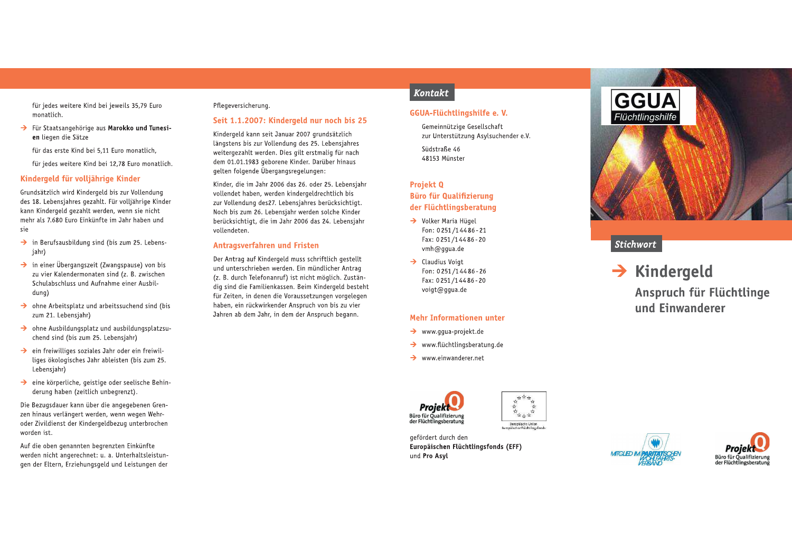für jedes weitere Kind bei jeweils 35,79 Euro monatlich.

- > Für Staatsangehörige aus Marokko und Tunesien liegen die Sätze
	- für das erste Kind bei 5.11 Euro monatlich,
	- für jedes weitere Kind bei 12,78 Euro monatlich.

# Kindergeld für volljährige Kinder

Grundsätzlich wird Kindergeld bis zur Vollendung des 18. Lebensjahres gezahlt. Für volljährige Kinder kann Kindergeld gezahlt werden, wenn sie nicht mehr als 7.680 Euro Einkünfte im Jahr haben und sie

- $\rightarrow$  in Berufsausbildung sind (bis zum 25. Lebensjahr)
- $\rightarrow$  in einer Übergangszeit (Zwangspause) von bis zu vier Kalendermonaten sind (z. B. zwischen Schulabschluss und Aufnahme einer Ausbil $d$ una $)$
- $\rightarrow$  ohne Arbeitsplatz und arbeitssuchend sind (bis zum 21. Lebensjahr)
- $\rightarrow$  ohne Ausbildungsplatz und ausbildungsplatzsuchend sind (bis zum 25. Lebensjahr)
- $\rightarrow$  ein freiwilliges soziales Jahr oder ein freiwilliges ökologisches Jahr ableisten (bis zum 25. Lebensjahr)
- $\rightarrow$  eine körperliche, geistige oder seelische Behinderung haben (zeitlich unbegrenzt).

Die Bezugsdauer kann über die angegebenen Grenzen hinaus verlängert werden, wenn wegen Wehroder Zivildienst der Kindergeldbezug unterbrochen worden ist.

Auf die oben genannten begrenzten Einkünfte werden nicht angerechnet: u. a. Unterhaltsleistungen der Eltern, Erziehungsgeld und Leistungen der

# Pflegeversicherung.

### Seit 1.1.2007: Kindergeld nur noch bis 25

Kindergeld kann seit Januar 2007 grundsätzlich Längstens bis zur Vollendung des 25. Lebensiahres weitergezahlt werden. Dies gilt erstmalig für nach dem 01.01.1983 geborene Kinder. Darüber hinaus gelten folgende Übergangsregelungen:

Kinder, die im Jahr 2006 das 26. oder 25. Lebensiahr vollendet haben, werden kindergeldrechtlich bis zur Vollendung des27. Lebensjahres berücksichtigt. Noch bis zum 26. Lebensjahr werden solche Kinder berücksichtigt, die im Jahr 2006 das 24. Lebensjahr vollendeten.

### Antragsverfahren und Fristen

Der Antrag auf Kindergeld muss schriftlich gestellt und unterschrieben werden. Ein mündlicher Antrag (z. B. durch Telefonanruf) ist nicht möglich. Zuständig sind die Familienkassen. Beim Kindergeld besteht für Zeiten, in denen die Voraussetzungen vorgelegen haben, ein rückwirkender Anspruch von bis zu vier Jahren ab dem Jahr, in dem der Anspruch begann.

# Kontakt

# GGUA-Flüchtlingshilfe e.V.

Gemeinnützige Gesellschaft zur Unterstützung Asylsuchender e.V.

Südstraße 46 48153 Münster

# Projekt<sub>0</sub>

# **Büro für Qualifizierung** der Flüchtlingsberatung

- → Volker Maria Hügel Fon: 0251/14486-21 Fax: 0251/14486-20 vmh@qqua.de
- $\rightarrow$  Claudius Voigt Fon: 0251/14486-26 Fax: 0251/14486-20 voigt@gqua.de

# Mehr Informationen unter

- $\rightarrow$  www.ggua-projekt.de
- $\rightarrow$  www.flüchtlingsberatung.de
- $\rightarrow$  www.einwanderer.net



女女女女 大女女女女 Europäische Unfor<br>gäischer Flüchtlings

gefördert durch den Europäischen Flüchtlingsfonds (EFF) und Pro Asyl



# **Stichwort**

 $\rightarrow$  Kindergeld Anspruch für Flüchtlinge und Einwanderer